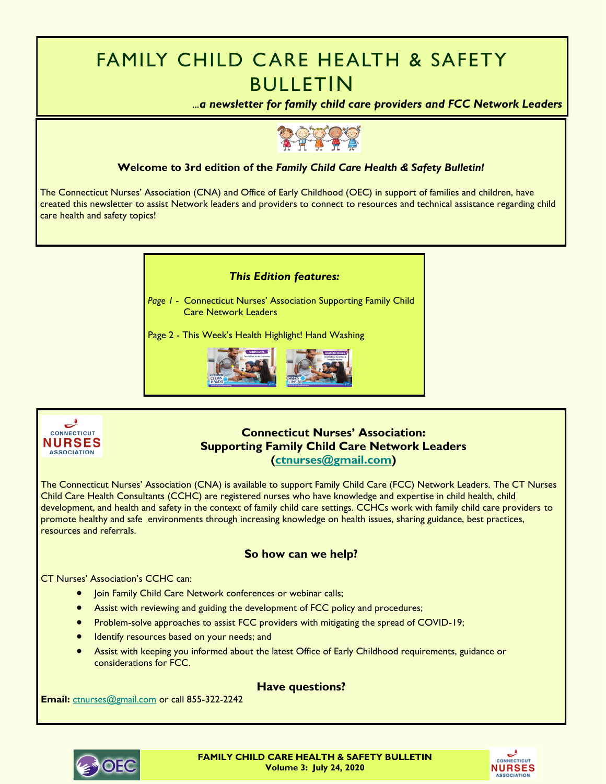# FAMILY CHILD CARE HEALTH & SAFETY BULLETIN

 *...a newsletter for family child care providers and FCC Network Leaders* 



### **Welcome to 3rd edition of the** *Family Child Care Health & Safety Bulletin!*

The Connecticut Nurses' Association (CNA) and Office of Early Childhood (OEC) in support of families and children, have created this newsletter to assist Network leaders and providers to connect to resources and technical assistance regarding child care health and safety topics!





### **Connecticut Nurses' Association: Supporting Family Child Care Network Leaders [\(ctnurses@gmail.com\)](mailto:ctnurses@gmail.com)**

The Connecticut Nurses' Association (CNA) is available to support Family Child Care (FCC) Network Leaders. The CT Nurses Child Care Health Consultants (CCHC) are registered nurses who have knowledge and expertise in child health, child development, and health and safety in the context of family child care settings. CCHCs work with family child care providers to promote healthy and safe environments through increasing knowledge on health issues, sharing guidance, best practices, resources and referrals.

## **So how can we help?**

CT Nurses' Association's CCHC can:

- Join Family Child Care Network conferences or webinar calls;
- Assist with reviewing and guiding the development of FCC policy and procedures;
- Problem-solve approaches to assist FCC providers with mitigating the spread of COVID-19;
- Identify resources based on your needs; and
- Assist with keeping you informed about the latest Office of Early Childhood requirements, guidance or considerations for FCC.

### **Have questions?**

**Email:** [ctnurses@gmail.com](mailto:ctnurses@gmail.com) or call 855-322-2242